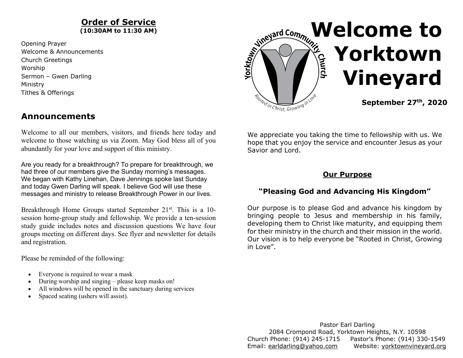#### **Order of Service (10:30AM to 11:30 AM)**

Opening Prayer Welcome & Announcements Church Greetings Worship Sermon – Gwen Darling Ministry Tithes & Offerings

# **Announcements**

Welcome to all our members, visitors, and friends here today and welcome to those watching us via Zoom. May God bless all of you abundantly for your love and support of this ministry.

Are you ready for a breakthrough? To prepare for breakthrough, we had three of our members give the Sunday morning's messages. We began with Kathy Linehan, Dave Jennings spoke last Sunday and today Gwen Darling will speak. I believe God will use these messages and ministry to release Breakthrough Power in our lives.

Breakthrough Home Groups started September 21<sup>st</sup>. This is a 10session home-group study and fellowship. We provide a ten-session study guide includes notes and discussion questions We have four groups meeting on different days. See flyer and newsletter for details and registration.

Please be reminded of the following:

- Everyone is required to wear a mask
- During worship and singing please keep masks on!
- All windows will be opened in the sanctuary during services
- Spaced seating (ushers will assist).



We appreciate you taking the time to fellowship with us. We hope that you enjoy the service and encounter Jesus as your Savior and Lord.

#### **Our Purpose**

# **"Pleasing God and Advancing His Kingdom"**

Our purpose is to please God and advance his kingdom by bringing people to Jesus and membership in his family, developing them to Christ like maturity, and equipping them for their ministry in the church and their mission in the world. Our vision is to help everyone be "Rooted in Christ, Growing in Love".

Pastor Earl Darling 2084 Crompond Road, Yorktown Heights, N.Y. 10598 Church Phone: (914) 245-1715 Pastor's Phone: (914) 330-1549 Email: earldarling@yahoo.com Website: yorktownvineyard.org